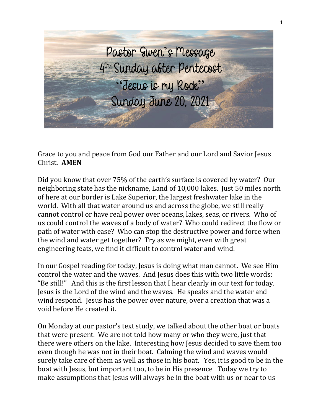

Grace to you and peace from God our Father and our Lord and Savior Jesus Christ. **AMEN**

Did you know that over 75% of the earth's surface is covered by water? Our neighboring state has the nickname, Land of 10,000 lakes. Just 50 miles north of here at our border is Lake Superior, the largest freshwater lake in the world. With all that water around us and across the globe, we still really cannot control or have real power over oceans, lakes, seas, or rivers. Who of us could control the waves of a body of water? Who could redirect the flow or path of water with ease? Who can stop the destructive power and force when the wind and water get together? Try as we might, even with great engineering feats, we find it difficult to control water and wind.

In our Gospel reading for today, Jesus is doing what man cannot. We see Him control the water and the waves. And Jesus does this with two little words: "Be still!" And this is the first lesson that I hear clearly in our text for today. Jesus is the Lord of the wind and the waves. He speaks and the water and wind respond. Jesus has the power over nature, over a creation that was a void before He created it.

On Monday at our pastor's text study, we talked about the other boat or boats that were present. We are not told how many or who they were, just that there were others on the lake. Interesting how Jesus decided to save them too even though he was not in their boat. Calming the wind and waves would surely take care of them as well as those in his boat. Yes, it is good to be in the boat with Jesus, but important too, to be in His presence Today we try to make assumptions that Jesus will always be in the boat with us or near to us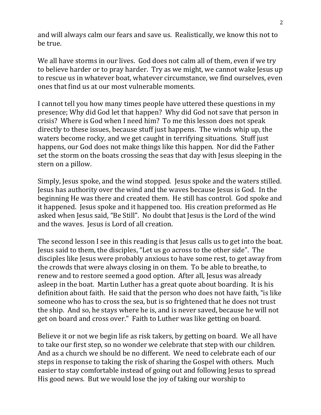and will always calm our fears and save us. Realistically, we know this not to be true.

We all have storms in our lives. God does not calm all of them, even if we try to believe harder or to pray harder. Try as we might, we cannot wake Jesus up to rescue us in whatever boat, whatever circumstance, we find ourselves, even ones that find us at our most vulnerable moments.

I cannot tell you how many times people have uttered these questions in my presence; Why did God let that happen? Why did God not save that person in crisis? Where is God when I need him? To me this lesson does not speak directly to these issues, because stuff just happens. The winds whip up, the waters become rocky, and we get caught in terrifying situations. Stuff just happens, our God does not make things like this happen. Nor did the Father set the storm on the boats crossing the seas that day with Jesus sleeping in the stern on a pillow.

Simply, Jesus spoke, and the wind stopped. Jesus spoke and the waters stilled. Jesus has authority over the wind and the waves because Jesus is God. In the beginning He was there and created them. He still has control. God spoke and it happened. Jesus spoke and it happened too. His creation preformed as He asked when Jesus said, "Be Still". No doubt that Jesus is the Lord of the wind and the waves. Jesus is Lord of all creation.

The second lesson I see in this reading is that Jesus calls us to get into the boat. Jesus said to them, the disciples, "Let us go across to the other side". The disciples like Jesus were probably anxious to have some rest, to get away from the crowds that were always closing in on them. To be able to breathe, to renew and to restore seemed a good option. After all, Jesus was already asleep in the boat. Martin Luther has a great quote about boarding. It is his definition about faith. He said that the person who does not have faith, "is like someone who has to cross the sea, but is so frightened that he does not trust the ship. And so, he stays where he is, and is never saved, because he will not get on board and cross over." Faith to Luther was like getting on board.

Believe it or not we begin life as risk takers, by getting on board. We all have to take our first step, so no wonder we celebrate that step with our children. And as a church we should be no different. We need to celebrate each of our steps in response to taking the risk of sharing the Gospel with others. Much easier to stay comfortable instead of going out and following Jesus to spread His good news. But we would lose the joy of taking our worship to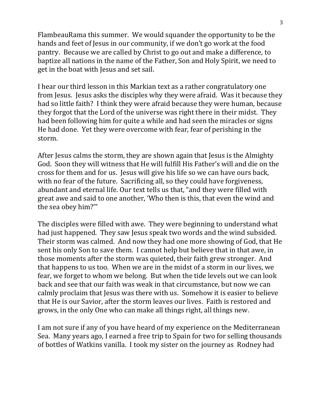FlambeauRama this summer. We would squander the opportunity to be the hands and feet of Jesus in our community, if we don't go work at the food pantry. Because we are called by Christ to go out and make a difference, to baptize all nations in the name of the Father, Son and Holy Spirit, we need to get in the boat with Jesus and set sail.

I hear our third lesson in this Markian text as a rather congratulatory one from Jesus. Jesus asks the disciples why they were afraid. Was it because they had so little faith? I think they were afraid because they were human, because they forgot that the Lord of the universe was right there in their midst. They had been following him for quite a while and had seen the miracles or signs He had done. Yet they were overcome with fear, fear of perishing in the storm.

After Jesus calms the storm, they are shown again that Jesus is the Almighty God. Soon they will witness that He will fulfill His Father's will and die on the cross for them and for us. Jesus will give his life so we can have ours back, with no fear of the future. Sacrificing all, so they could have forgiveness, abundant and eternal life. Our text tells us that, "and they were filled with great awe and said to one another, 'Who then is this, that even the wind and the sea obey him?'"

The disciples were filled with awe. They were beginning to understand what had just happened. They saw Jesus speak two words and the wind subsided. Their storm was calmed. And now they had one more showing of God, that He sent his only Son to save them. I cannot help but believe that in that awe, in those moments after the storm was quieted, their faith grew stronger. And that happens to us too. When we are in the midst of a storm in our lives, we fear, we forget to whom we belong. But when the tide levels out we can look back and see that our faith was weak in that circumstance, but now we can calmly proclaim that Jesus was there with us. Somehow it is easier to believe that He is our Savior, after the storm leaves our lives. Faith is restored and grows, in the only One who can make all things right, all things new.

I am not sure if any of you have heard of my experience on the Mediterranean Sea. Many years ago, I earned a free trip to Spain for two for selling thousands of bottles of Watkins vanilla. I took my sister on the journey as Rodney had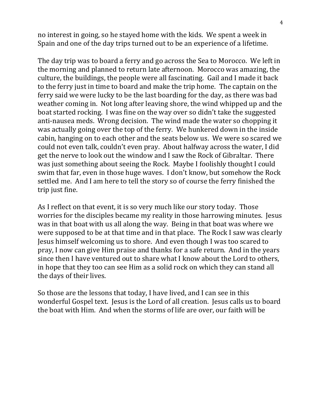no interest in going, so he stayed home with the kids. We spent a week in Spain and one of the day trips turned out to be an experience of a lifetime.

The day trip was to board a ferry and go across the Sea to Morocco. We left in the morning and planned to return late afternoon. Morocco was amazing, the culture, the buildings, the people were all fascinating. Gail and I made it back to the ferry just in time to board and make the trip home. The captain on the ferry said we were lucky to be the last boarding for the day, as there was bad weather coming in. Not long after leaving shore, the wind whipped up and the boat started rocking. I was fine on the way over so didn't take the suggested anti-nausea meds. Wrong decision. The wind made the water so chopping it was actually going over the top of the ferry. We hunkered down in the inside cabin, hanging on to each other and the seats below us. We were so scared we could not even talk, couldn't even pray. About halfway across the water, I did get the nerve to look out the window and I saw the Rock of Gibraltar. There was just something about seeing the Rock. Maybe I foolishly thought I could swim that far, even in those huge waves. I don't know, but somehow the Rock settled me. And I am here to tell the story so of course the ferry finished the trip just fine.

As I reflect on that event, it is so very much like our story today. Those worries for the disciples became my reality in those harrowing minutes. Jesus was in that boat with us all along the way. Being in that boat was where we were supposed to be at that time and in that place. The Rock I saw was clearly Jesus himself welcoming us to shore. And even though I was too scared to pray, I now can give Him praise and thanks for a safe return. And in the years since then I have ventured out to share what I know about the Lord to others, in hope that they too can see Him as a solid rock on which they can stand all the days of their lives.

So those are the lessons that today, I have lived, and I can see in this wonderful Gospel text. Jesus is the Lord of all creation. Jesus calls us to board the boat with Him. And when the storms of life are over, our faith will be